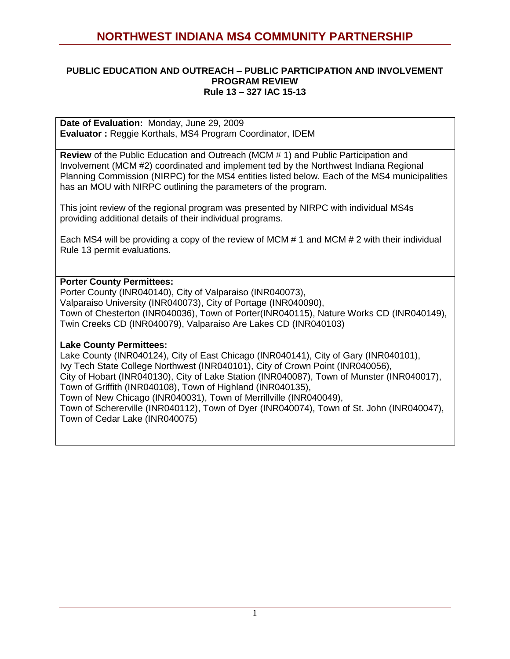### **PUBLIC EDUCATION AND OUTREACH – PUBLIC PARTICIPATION AND INVOLVEMENT PROGRAM REVIEW Rule 13 – 327 IAC 15-13**

**Date of Evaluation:** Monday, June 29, 2009 **Evaluator :** Reggie Korthals, MS4 Program Coordinator, IDEM

**Review** of the Public Education and Outreach (MCM # 1) and Public Participation and Involvement (MCM #2) coordinated and implement ted by the Northwest Indiana Regional Planning Commission (NIRPC) for the MS4 entities listed below. Each of the MS4 municipalities has an MOU with NIRPC outlining the parameters of the program.

This joint review of the regional program was presented by NIRPC with individual MS4s providing additional details of their individual programs.

Each MS4 will be providing a copy of the review of MCM # 1 and MCM # 2 with their individual Rule 13 permit evaluations.

### **Porter County Permittees:**

Porter County (INR040140), City of Valparaiso (INR040073), Valparaiso University (INR040073), City of Portage (INR040090), Town of Chesterton (INR040036), Town of Porter(INR040115), Nature Works CD (INR040149), Twin Creeks CD (INR040079), Valparaiso Are Lakes CD (INR040103)

### **Lake County Permittees:**

Lake County (INR040124), City of East Chicago (INR040141), City of Gary (INR040101), Ivy Tech State College Northwest (INR040101), City of Crown Point (INR040056), City of Hobart (INR040130), City of Lake Station (INR040087), Town of Munster (INR040017), Town of Griffith (INR040108), Town of Highland (INR040135), Town of New Chicago (INR040031), Town of Merrillville (INR040049), Town of Schererville (INR040112), Town of Dyer (INR040074), Town of St. John (INR040047), Town of Cedar Lake (INR040075)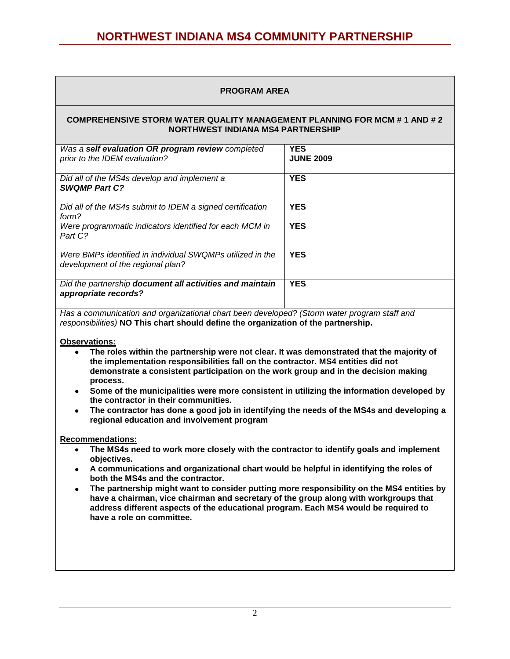#### **PROGRAM AREA**

#### **COMPREHENSIVE STORM WATER QUALITY MANAGEMENT PLANNING FOR MCM # 1 AND # 2 NORTHWEST INDIANA MS4 PARTNERSHIP**

| Was a self evaluation OR program review completed<br>prior to the IDEM evaluation?             | <b>YES</b><br><b>JUNE 2009</b> |
|------------------------------------------------------------------------------------------------|--------------------------------|
| Did all of the MS4s develop and implement a<br><b>SWQMP Part C?</b>                            | <b>YES</b>                     |
| Did all of the MS4s submit to IDEM a signed certification<br>form?                             | <b>YES</b>                     |
| Were programmatic indicators identified for each MCM in<br>Part C?                             | <b>YES</b>                     |
| Were BMPs identified in individual SWQMPs utilized in the<br>development of the regional plan? | <b>YES</b>                     |
| Did the partnership document all activities and maintain<br>appropriate records?               | <b>YES</b>                     |

*Has a communication and organizational chart been developed? (Storm water program staff and responsibilities)* **NO This chart should define the organization of the partnership.**

#### **Observations:**

- **The roles within the partnership were not clear. It was demonstrated that the majority of the implementation responsibilities fall on the contractor. MS4 entities did not demonstrate a consistent participation on the work group and in the decision making process.**
- **Some of the municipalities were more consistent in utilizing the information developed by the contractor in their communities.**
- **The contractor has done a good job in identifying the needs of the MS4s and developing a regional education and involvement program**

#### **Recommendations:**

- **The MS4s need to work more closely with the contractor to identify goals and implement objectives.**
- **A communications and organizational chart would be helpful in identifying the roles of both the MS4s and the contractor.**
- **The partnership might want to consider putting more responsibility on the MS4 entities by have a chairman, vice chairman and secretary of the group along with workgroups that address different aspects of the educational program. Each MS4 would be required to have a role on committee.**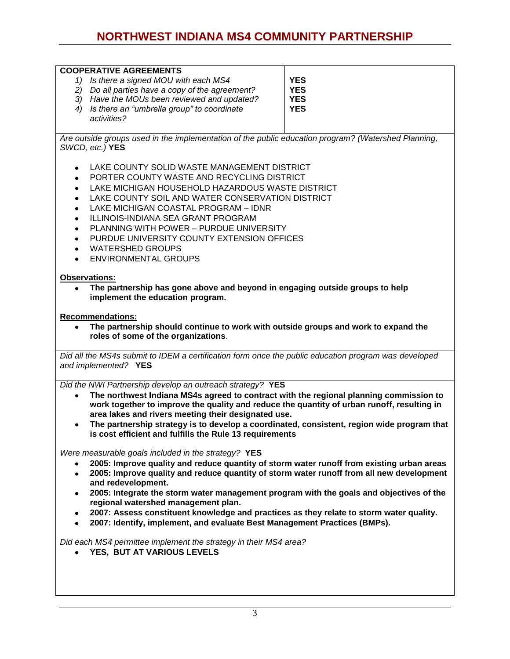| <b>COOPERATIVE AGREEMENTS</b>                                                                       |            |
|-----------------------------------------------------------------------------------------------------|------------|
| Is there a signed MOU with each MS4                                                                 | <b>YES</b> |
| Do all parties have a copy of the agreement?<br>2)                                                  | <b>YES</b> |
| Have the MOUs been reviewed and updated?<br>3)                                                      | <b>YES</b> |
| Is there an "umbrella group" to coordinate<br>4)<br>activities?                                     | <b>YES</b> |
| Are outside groups used in the implementation of the public education program? (Watershed Planning, |            |
| SWCD, etc.) YES                                                                                     |            |

LAKE COUNTY SOLID WASTE MANAGEMENT DISTRICT

- PORTER COUNTY WASTE AND RECYCLING DISTRICT
- LAKE MICHIGAN HOUSEHOLD HAZARDOUS WASTE DISTRICT
- LAKE COUNTY SOIL AND WATER CONSERVATION DISTRICT
- LAKE MICHIGAN COASTAL PROGRAM IDNR
- ILLINOIS-INDIANA SEA GRANT PROGRAM
- PLANNING WITH POWER PURDUE UNIVERSITY
- PURDUE UNIVERSITY COUNTY EXTENSION OFFICES
- WATERSHED GROUPS
- **ENVIRONMENTAL GROUPS**

#### **Observations:**

**The partnership has gone above and beyond in engaging outside groups to help implement the education program.**

#### **Recommendations:**

**The partnership should continue to work with outside groups and work to expand the roles of some of the organizations**.

*Did all the MS4s submit to IDEM a certification form once the public education program was developed and implemented?* **YES**

*Did the NWI Partnership develop an outreach strategy?* **YES**

- **The northwest Indiana MS4s agreed to contract with the regional planning commission to work together to improve the quality and reduce the quantity of urban runoff, resulting in area lakes and rivers meeting their designated use.**
- **The partnership strategy is to develop a coordinated, consistent, region wide program that is cost efficient and fulfills the Rule 13 requirements**

*Were measurable goals included in the strategy?* **YES**

- **2005: Improve quality and reduce quantity of storm water runoff from existing urban areas**
- **2005: Improve quality and reduce quantity of storm water runoff from all new development and redevelopment.**
- **2005: Integrate the storm water management program with the goals and objectives of the regional watershed management plan.**
- **2007: Assess constituent knowledge and practices as they relate to storm water quality.**
- **2007: Identify, implement, and evaluate Best Management Practices (BMPs).**

*Did each MS4 permittee implement the strategy in their MS4 area?* 

**YES, BUT AT VARIOUS LEVELS**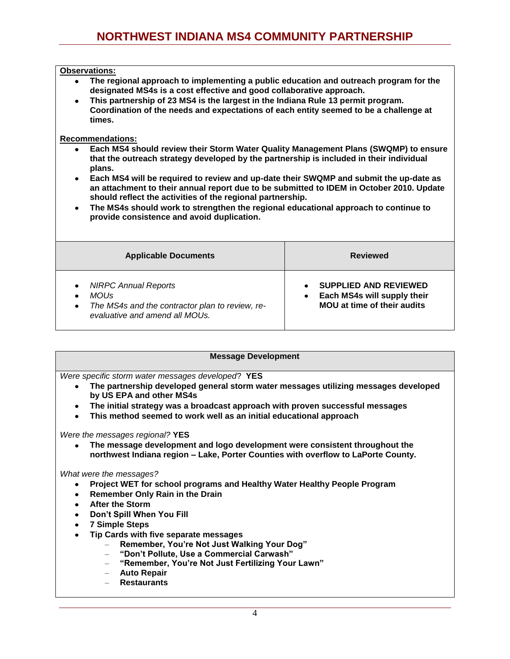#### **Observations:**

- $\bullet$ **The regional approach to implementing a public education and outreach program for the designated MS4s is a cost effective and good collaborative approach.**
- **This partnership of 23 MS4 is the largest in the Indiana Rule 13 permit program. Coordination of the needs and expectations of each entity seemed to be a challenge at times.**

#### **Recommendations:**

- **Each MS4 should review their Storm Water Quality Management Plans (SWQMP) to ensure that the outreach strategy developed by the partnership is included in their individual plans.**
- **Each MS4 will be required to review and up-date their SWQMP and submit the up-date as an attachment to their annual report due to be submitted to IDEM in October 2010. Update should reflect the activities of the regional partnership.**
- **The MS4s should work to strengthen the regional educational approach to continue to provide consistence and avoid duplication.**

| <b>Applicable Documents</b>                                                                                                                            | <b>Reviewed</b>                                                                                   |
|--------------------------------------------------------------------------------------------------------------------------------------------------------|---------------------------------------------------------------------------------------------------|
| <b>NIRPC Annual Reports</b><br>$\bullet$<br>MOU <sub>S</sub><br>The MS4s and the contractor plan to review, re-<br>٠<br>evaluative and amend all MOUs. | <b>SUPPLIED AND REVIEWED</b><br>Each MS4s will supply their<br><b>MOU</b> at time of their audits |

#### **Message Development**

*Were specific storm water messages developed*? **YES**

- **The partnership developed general storm water messages utilizing messages developed by US EPA and other MS4s**
- **The initial strategy was a broadcast approach with proven successful messages**
- **This method seemed to work well as an initial educational approach**  $\bullet$

*Were the messages regional?* **YES**

**The message development and logo development were consistent throughout the northwest Indiana region – Lake, Porter Counties with overflow to LaPorte County.**

*What were the messages?*

- **Project WET for school programs and Healthy Water Healthy People Program**
- **Remember Only Rain in the Drain**
- **After the Storm**
- **Don't Spill When You Fill**
- **7 Simple Steps**
- **Tip Cards with five separate messages**
	- **Remember, You're Not Just Walking Your Dog"**
	- **"Don't Pollute, Use a Commercial Carwash"**
	- **"Remember, You're Not Just Fertilizing Your Lawn"**
	- **Auto Repair**
	- **Restaurants**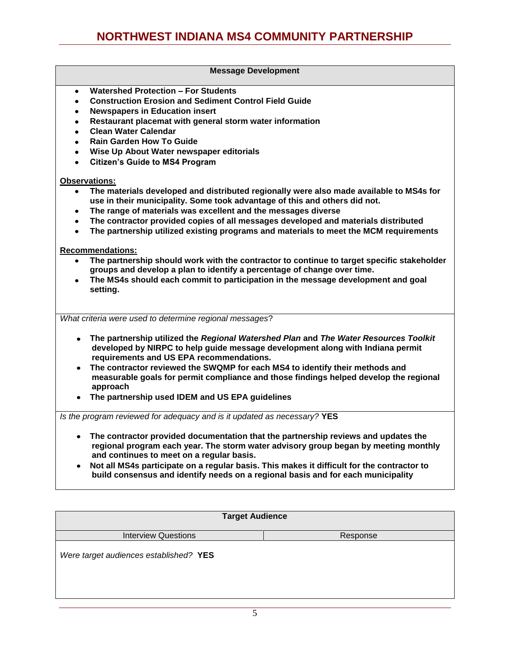#### **Message Development**

- **Watershed Protection – For Students**  $\bullet$
- **Construction Erosion and Sediment Control Field Guide**
- **Newspapers in Education insert**
- **Restaurant placemat with general storm water information**  $\bullet$
- **Clean Water Calendar**
- **Rain Garden How To Guide**
- **Wise Up About Water newspaper editorials**
- **Citizen's Guide to MS4 Program**

#### **Observations:**

- **The materials developed and distributed regionally were also made available to MS4s for use in their municipality. Some took advantage of this and others did not.**
- **The range of materials was excellent and the messages diverse**  $\bullet$
- **The contractor provided copies of all messages developed and materials distributed**
- **The partnership utilized existing programs and materials to meet the MCM requirements**

#### **Recommendations:**

- **The partnership should work with the contractor to continue to target specific stakeholder groups and develop a plan to identify a percentage of change over time.**
- **The MS4s should each commit to participation in the message development and goal**   $\bullet$ **setting.**

*What criteria were used to determine regional messages*?

- **The partnership utilized the** *Regional Watershed Plan* **and** *The Water Resources Toolkit*  **developed by NIRPC to help guide message development along with Indiana permit requirements and US EPA recommendations.**
- **The contractor reviewed the SWQMP for each MS4 to identify their methods and measurable goals for permit compliance and those findings helped develop the regional approach**
- **The partnership used IDEM and US EPA guidelines**

*Is the program reviewed for adequacy and is it updated as necessary?* **YES**

- **The contractor provided documentation that the partnership reviews and updates the regional program each year. The storm water advisory group began by meeting monthly and continues to meet on a regular basis.**
- **Not all MS4s participate on a regular basis. This makes it difficult for the contractor to build consensus and identify needs on a regional basis and for each municipality**

| <b>Target Audience</b>                 |          |  |
|----------------------------------------|----------|--|
| <b>Interview Questions</b>             | Response |  |
| Were target audiences established? YES |          |  |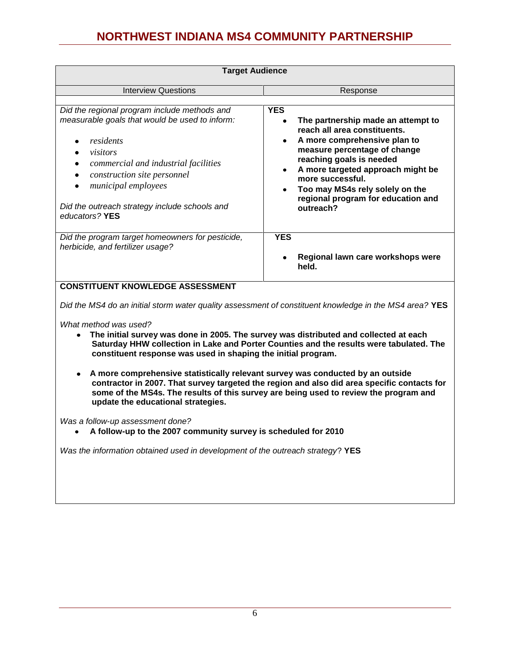| <b>Target Audience</b>                                                                                                                                                                                                                                                                          |                                                                                                                                                                                                                                                                                                                             |
|-------------------------------------------------------------------------------------------------------------------------------------------------------------------------------------------------------------------------------------------------------------------------------------------------|-----------------------------------------------------------------------------------------------------------------------------------------------------------------------------------------------------------------------------------------------------------------------------------------------------------------------------|
| <b>Interview Questions</b>                                                                                                                                                                                                                                                                      | Response                                                                                                                                                                                                                                                                                                                    |
| Did the regional program include methods and<br>measurable goals that would be used to inform:<br>residents<br>visitors<br>commercial and industrial facilities<br>construction site personnel<br><i>municipal employees</i><br>Did the outreach strategy include schools and<br>educators? YES | <b>YES</b><br>The partnership made an attempt to<br>reach all area constituents.<br>A more comprehensive plan to<br>measure percentage of change<br>reaching goals is needed<br>A more targeted approach might be<br>more successful.<br>Too may MS4s rely solely on the<br>regional program for education and<br>outreach? |
| Did the program target homeowners for pesticide,<br>herbicide, and fertilizer usage?                                                                                                                                                                                                            | <b>YES</b><br>Regional lawn care workshops were<br>held.                                                                                                                                                                                                                                                                    |

**CONSTITUENT KNOWLEDGE ASSESSMENT**

*Did the MS4 do an initial storm water quality assessment of constituent knowledge in the MS4 area?* **YES**

*What method was used?*

- **The initial survey was done in 2005. The survey was distributed and collected at each Saturday HHW collection in Lake and Porter Counties and the results were tabulated. The constituent response was used in shaping the initial program.**
- **A more comprehensive statistically relevant survey was conducted by an outside contractor in 2007. That survey targeted the region and also did area specific contacts for some of the MS4s. The results of this survey are being used to review the program and update the educational strategies.**

*Was a follow-up assessment done?*

**A follow-up to the 2007 community survey is scheduled for 2010**

*Was the information obtained used in development of the outreach strategy*? **YES**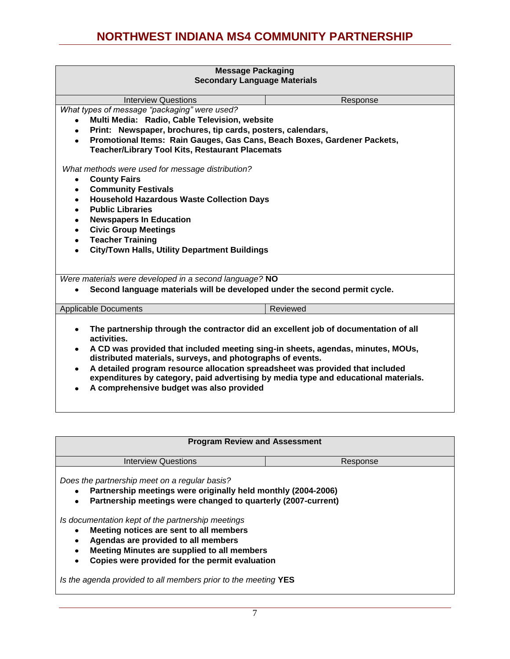| <b>Message Packaging</b>                                                                                                                                                                                                                                                                                                                                                                                                                                                                                                    |                                |  |
|-----------------------------------------------------------------------------------------------------------------------------------------------------------------------------------------------------------------------------------------------------------------------------------------------------------------------------------------------------------------------------------------------------------------------------------------------------------------------------------------------------------------------------|--------------------------------|--|
| <b>Secondary Language Materials</b>                                                                                                                                                                                                                                                                                                                                                                                                                                                                                         |                                |  |
| <b>Interview Questions</b>                                                                                                                                                                                                                                                                                                                                                                                                                                                                                                  | Response                       |  |
| What types of message "packaging" were used?                                                                                                                                                                                                                                                                                                                                                                                                                                                                                |                                |  |
| Multi Media: Radio, Cable Television, website<br>$\bullet$                                                                                                                                                                                                                                                                                                                                                                                                                                                                  |                                |  |
| Print: Newspaper, brochures, tip cards, posters, calendars,<br>$\bullet$                                                                                                                                                                                                                                                                                                                                                                                                                                                    |                                |  |
| Promotional Items: Rain Gauges, Gas Cans, Beach Boxes, Gardener Packets,<br>$\bullet$<br><b>Teacher/Library Tool Kits, Restaurant Placemats</b>                                                                                                                                                                                                                                                                                                                                                                             |                                |  |
| What methods were used for message distribution?                                                                                                                                                                                                                                                                                                                                                                                                                                                                            |                                |  |
| <b>County Fairs</b><br>$\bullet$                                                                                                                                                                                                                                                                                                                                                                                                                                                                                            |                                |  |
| <b>Community Festivals</b><br>$\bullet$                                                                                                                                                                                                                                                                                                                                                                                                                                                                                     |                                |  |
| <b>Household Hazardous Waste Collection Days</b><br>$\bullet$                                                                                                                                                                                                                                                                                                                                                                                                                                                               |                                |  |
| <b>Public Libraries</b>                                                                                                                                                                                                                                                                                                                                                                                                                                                                                                     |                                |  |
|                                                                                                                                                                                                                                                                                                                                                                                                                                                                                                                             | <b>Newspapers In Education</b> |  |
| <b>Civic Group Meetings</b><br>$\bullet$                                                                                                                                                                                                                                                                                                                                                                                                                                                                                    |                                |  |
| <b>Teacher Training</b><br>$\bullet$                                                                                                                                                                                                                                                                                                                                                                                                                                                                                        |                                |  |
| City/Town Halls, Utility Department Buildings<br>$\bullet$                                                                                                                                                                                                                                                                                                                                                                                                                                                                  |                                |  |
|                                                                                                                                                                                                                                                                                                                                                                                                                                                                                                                             |                                |  |
| Were materials were developed in a second language? NO                                                                                                                                                                                                                                                                                                                                                                                                                                                                      |                                |  |
| Second language materials will be developed under the second permit cycle.                                                                                                                                                                                                                                                                                                                                                                                                                                                  |                                |  |
| <b>Applicable Documents</b>                                                                                                                                                                                                                                                                                                                                                                                                                                                                                                 | <b>Reviewed</b>                |  |
| The partnership through the contractor did an excellent job of documentation of all<br>$\bullet$<br>activities.<br>A CD was provided that included meeting sing-in sheets, agendas, minutes, MOUs,<br>$\bullet$<br>distributed materials, surveys, and photographs of events.<br>A detailed program resource allocation spreadsheet was provided that included<br>$\bullet$<br>expenditures by category, paid advertising by media type and educational materials.<br>A comprehensive budget was also provided<br>$\bullet$ |                                |  |

| <b>Program Review and Assessment</b>                           |          |  |
|----------------------------------------------------------------|----------|--|
| Interview Questions                                            | Response |  |
| Does the partnership meet on a regular basis?                  |          |  |
| Partnership meetings were originally held monthly (2004-2006)  |          |  |
| Partnership meetings were changed to quarterly (2007-current)  |          |  |
|                                                                |          |  |
| Is documentation kept of the partnership meetings              |          |  |
| Meeting notices are sent to all members                        |          |  |
| Agendas are provided to all members                            |          |  |
| Meeting Minutes are supplied to all members                    |          |  |
| Copies were provided for the permit evaluation                 |          |  |
|                                                                |          |  |
| Is the agenda provided to all members prior to the meeting YES |          |  |
|                                                                |          |  |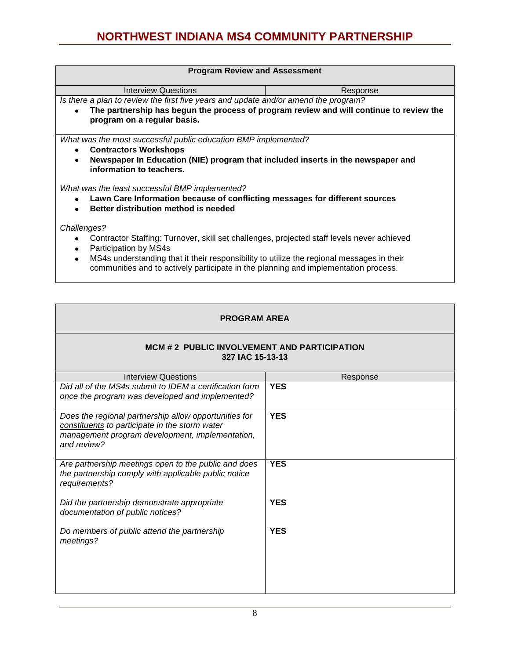| <b>Program Review and Assessment</b>                                                                                                                                                          |          |  |
|-----------------------------------------------------------------------------------------------------------------------------------------------------------------------------------------------|----------|--|
| <b>Interview Questions</b>                                                                                                                                                                    | Response |  |
| Is there a plan to review the first five years and update and/or amend the program?                                                                                                           |          |  |
| The partnership has begun the process of program review and will continue to review the<br>$\bullet$<br>program on a regular basis.                                                           |          |  |
| What was the most successful public education BMP implemented?                                                                                                                                |          |  |
| <b>Contractors Workshops</b><br>$\bullet$                                                                                                                                                     |          |  |
| Newspaper In Education (NIE) program that included inserts in the newspaper and<br>$\bullet$<br>information to teachers.                                                                      |          |  |
| What was the least successful BMP implemented?                                                                                                                                                |          |  |
| Lawn Care Information because of conflicting messages for different sources<br>$\bullet$<br>Better distribution method is needed<br>$\bullet$                                                 |          |  |
| Challenges?                                                                                                                                                                                   |          |  |
| Contractor Staffing: Turnover, skill set challenges, projected staff levels never achieved<br>$\bullet$<br>Participation by MS4s<br>٠                                                         |          |  |
| MS4s understanding that it their responsibility to utilize the regional messages in their<br>$\bullet$<br>communities and to actively participate in the planning and implementation process. |          |  |

| <b>PROGRAM AREA</b> |
|---------------------|
|---------------------|

#### **MCM # 2 PUBLIC INVOLVEMENT AND PARTICIPATION 327 IAC 15-13-13**

| <b>Interview Questions</b>                                                                                                                                                | Response   |
|---------------------------------------------------------------------------------------------------------------------------------------------------------------------------|------------|
| Did all of the MS4s submit to IDEM a certification form<br>once the program was developed and implemented?                                                                | <b>YES</b> |
| Does the regional partnership allow opportunities for<br>constituents to participate in the storm water<br>management program development, implementation,<br>and review? | <b>YES</b> |
| Are partnership meetings open to the public and does<br>the partnership comply with applicable public notice<br>requirements?                                             | <b>YES</b> |
| Did the partnership demonstrate appropriate<br>documentation of public notices?                                                                                           | <b>YES</b> |
| Do members of public attend the partnership<br>meetings?                                                                                                                  | <b>YES</b> |
|                                                                                                                                                                           |            |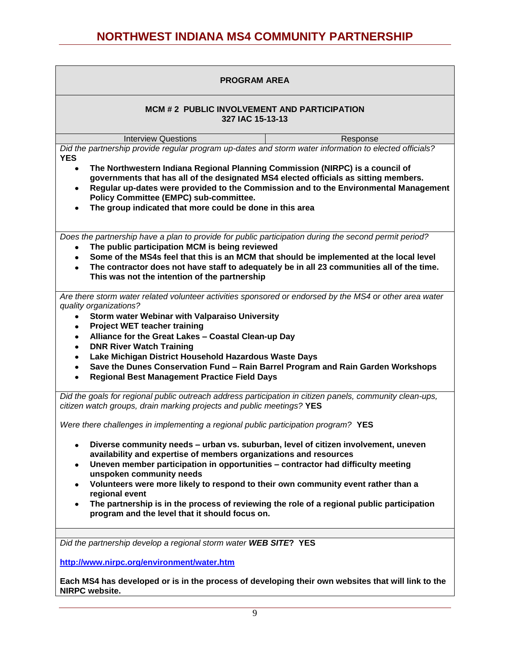| <b>PROGRAM AREA</b>                                                                                                                                                                                                                                                                                                                                                                                                                                                                                                                                                        |  |  |
|----------------------------------------------------------------------------------------------------------------------------------------------------------------------------------------------------------------------------------------------------------------------------------------------------------------------------------------------------------------------------------------------------------------------------------------------------------------------------------------------------------------------------------------------------------------------------|--|--|
| MCM # 2 PUBLIC INVOLVEMENT AND PARTICIPATION<br>327 IAC 15-13-13                                                                                                                                                                                                                                                                                                                                                                                                                                                                                                           |  |  |
| <b>Interview Questions</b><br>Response                                                                                                                                                                                                                                                                                                                                                                                                                                                                                                                                     |  |  |
| Did the partnership provide regular program up-dates and storm water information to elected officials?<br><b>YES</b>                                                                                                                                                                                                                                                                                                                                                                                                                                                       |  |  |
| The Northwestern Indiana Regional Planning Commission (NIRPC) is a council of<br>$\bullet$<br>governments that has all of the designated MS4 elected officials as sitting members.<br>Regular up-dates were provided to the Commission and to the Environmental Management<br>$\bullet$<br><b>Policy Committee (EMPC) sub-committee.</b><br>The group indicated that more could be done in this area                                                                                                                                                                       |  |  |
| Does the partnership have a plan to provide for public participation during the second permit period?<br>The public participation MCM is being reviewed<br>$\bullet$<br>Some of the MS4s feel that this is an MCM that should be implemented at the local level<br>٠<br>The contractor does not have staff to adequately be in all 23 communities all of the time.<br>This was not the intention of the partnership                                                                                                                                                        |  |  |
| Are there storm water related volunteer activities sponsored or endorsed by the MS4 or other area water<br>quality organizations?<br>Storm water Webinar with Valparaiso University<br>$\bullet$<br><b>Project WET teacher training</b><br>Alliance for the Great Lakes - Coastal Clean-up Day<br><b>DNR River Watch Training</b><br>Lake Michigan District Household Hazardous Waste Days<br>Save the Dunes Conservation Fund - Rain Barrel Program and Rain Garden Workshops<br><b>Regional Best Management Practice Field Days</b>                                      |  |  |
| Did the goals for regional public outreach address participation in citizen panels, community clean-ups,<br>citizen watch groups, drain marking projects and public meetings? YES                                                                                                                                                                                                                                                                                                                                                                                          |  |  |
| Were there challenges in implementing a regional public participation program? YES                                                                                                                                                                                                                                                                                                                                                                                                                                                                                         |  |  |
| Diverse community needs - urban vs. suburban, level of citizen involvement, uneven<br>٠<br>availability and expertise of members organizations and resources<br>Uneven member participation in opportunities - contractor had difficulty meeting<br>$\bullet$<br>unspoken community needs<br>Volunteers were more likely to respond to their own community event rather than a<br>$\bullet$<br>regional event<br>The partnership is in the process of reviewing the role of a regional public participation<br>$\bullet$<br>program and the level that it should focus on. |  |  |
| Did the partnership develop a regional storm water WEB SITE? YES                                                                                                                                                                                                                                                                                                                                                                                                                                                                                                           |  |  |
|                                                                                                                                                                                                                                                                                                                                                                                                                                                                                                                                                                            |  |  |
| http://www.nirpc.org/environment/water.htm                                                                                                                                                                                                                                                                                                                                                                                                                                                                                                                                 |  |  |
| Each MS4 has developed or is in the process of developing their own websites that will link to the<br>NIRPC website.                                                                                                                                                                                                                                                                                                                                                                                                                                                       |  |  |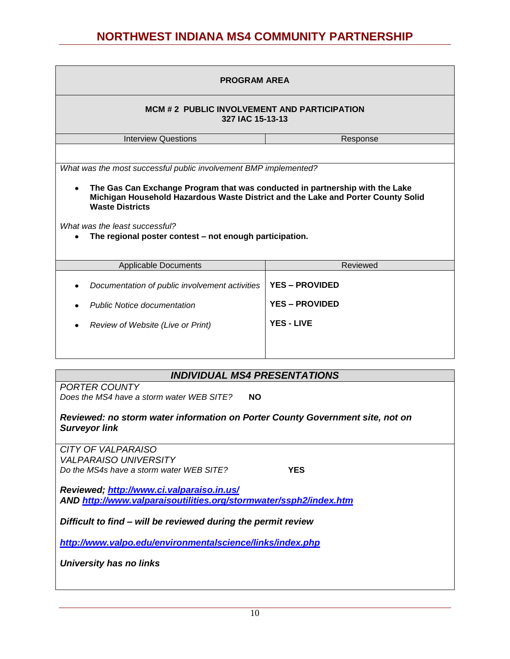| <b>PROGRAM AREA</b>                                                                                                                                                                                                                                                                                                                                         |                                                |  |
|-------------------------------------------------------------------------------------------------------------------------------------------------------------------------------------------------------------------------------------------------------------------------------------------------------------------------------------------------------------|------------------------------------------------|--|
| <b>MCM # 2 PUBLIC INVOLVEMENT AND PARTICIPATION</b><br>327 IAC 15-13-13                                                                                                                                                                                                                                                                                     |                                                |  |
| <b>Interview Questions</b><br>Response                                                                                                                                                                                                                                                                                                                      |                                                |  |
| What was the most successful public involvement BMP implemented?<br>The Gas Can Exchange Program that was conducted in partnership with the Lake<br>Michigan Household Hazardous Waste District and the Lake and Porter County Solid<br><b>Waste Districts</b><br>What was the least successful?<br>The regional poster contest – not enough participation. |                                                |  |
| <b>Applicable Documents</b>                                                                                                                                                                                                                                                                                                                                 | Reviewed                                       |  |
| Documentation of public involvement activities<br><b>Public Notice documentation</b>                                                                                                                                                                                                                                                                        | <b>YES - PROVIDED</b><br><b>YES - PROVIDED</b> |  |
| Review of Website (Live or Print)                                                                                                                                                                                                                                                                                                                           | <b>YES - LIVE</b>                              |  |

### *INDIVIDUAL MS4 PRESENTATIONS*

*PORTER COUNTY Does the MS4 have a storm water WEB SITE?* **NO**

*Reviewed: no storm water information on Porter County Government site, not on Surveyor link*

*CITY OF VALPARAISO VALPARAISO UNIVERSITY Do the MS4s have a storm water WEB SITE?* **YES** 

*Reviewed;<http://www.ci.valparaiso.in.us/> AND<http://www.valparaisoutilities.org/stormwater/ssph2/index.htm>*

*Difficult to find – will be reviewed during the permit review*

*<http://www.valpo.edu/environmentalscience/links/index.php>*

*University has no links*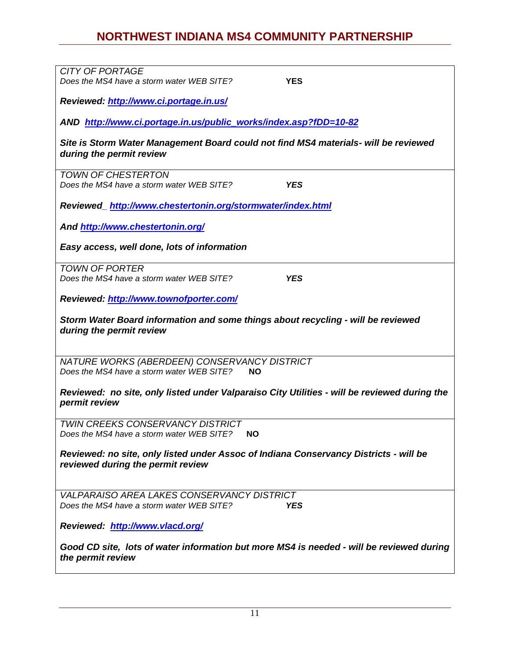| <b>CITY OF PORTAGE</b>                                                                       |
|----------------------------------------------------------------------------------------------|
| Does the MS4 have a storm water WEB SITE?<br><b>YES</b>                                      |
|                                                                                              |
| Reviewed: http://www.ci.portage.in.us/                                                       |
|                                                                                              |
|                                                                                              |
| AND http://www.ci.portage.in.us/public works/index.asp?fDD=10-82                             |
|                                                                                              |
| Site is Storm Water Management Board could not find MS4 materials- will be reviewed          |
| during the permit review                                                                     |
|                                                                                              |
| <b>TOWN OF CHESTERTON</b>                                                                    |
| Does the MS4 have a storm water WEB SITE?<br><b>YES</b>                                      |
|                                                                                              |
|                                                                                              |
| Reviewed_http://www.chestertonin.org/stormwater/index.html                                   |
|                                                                                              |
| And http://www.chestertonin.org/                                                             |
|                                                                                              |
| Easy access, well done, lots of information                                                  |
|                                                                                              |
|                                                                                              |
| <b>TOWN OF PORTER</b>                                                                        |
| Does the MS4 have a storm water WEB SITE?<br><b>YES</b>                                      |
|                                                                                              |
| Reviewed: http://www.townofporter.com/                                                       |
|                                                                                              |
|                                                                                              |
| Storm Water Board information and some things about recycling - will be reviewed             |
| during the permit review                                                                     |
|                                                                                              |
|                                                                                              |
|                                                                                              |
| NATURE WORKS (ABERDEEN) CONSERVANCY DISTRICT                                                 |
| Does the MS4 have a storm water WEB SITE?<br><b>NO</b>                                       |
|                                                                                              |
| Reviewed: no site, only listed under Valparaiso City Utilities - will be reviewed during the |
| permit review                                                                                |
|                                                                                              |
|                                                                                              |
| <b>TWIN CREEKS CONSERVANCY DISTRICT</b>                                                      |
| Does the MS4 have a storm water WEB SITE?<br><b>NO</b>                                       |
|                                                                                              |
| Reviewed: no site, only listed under Assoc of Indiana Conservancy Districts - will be        |
| reviewed during the permit review                                                            |
|                                                                                              |
|                                                                                              |
|                                                                                              |
| <b>VALPARAISO AREA LAKES CONSERVANCY DISTRICT</b>                                            |
| <b>YES</b><br>Does the MS4 have a storm water WEB SITE?                                      |
|                                                                                              |
|                                                                                              |
| Reviewed: http://www.vlacd.org/                                                              |
|                                                                                              |
| Good CD site, lots of water information but more MS4 is needed - will be reviewed during     |
|                                                                                              |
|                                                                                              |
| the permit review                                                                            |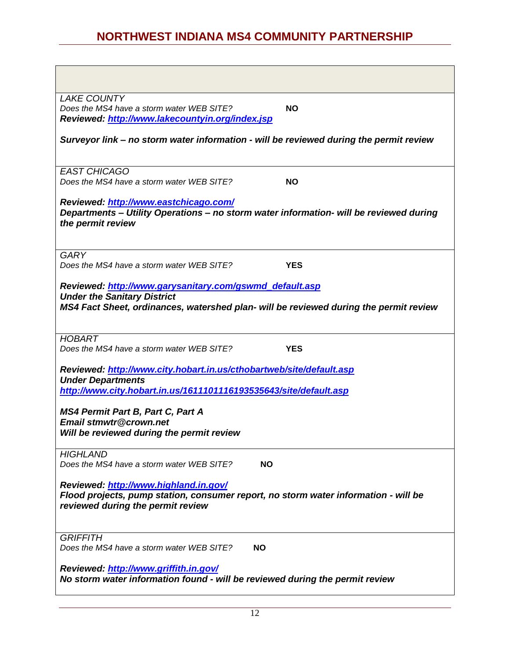| <b>LAKE COUNTY</b>                                                                                                                                                                     |            |
|----------------------------------------------------------------------------------------------------------------------------------------------------------------------------------------|------------|
| Does the MS4 have a storm water WEB SITE?<br><b>NO</b>                                                                                                                                 |            |
| Reviewed: http://www.lakecountyin.org/index.jsp                                                                                                                                        |            |
| Surveyor link - no storm water information - will be reviewed during the permit review                                                                                                 |            |
| <b>EAST CHICAGO</b>                                                                                                                                                                    |            |
| Does the MS4 have a storm water WEB SITE?<br><b>NO</b>                                                                                                                                 |            |
| Reviewed: http://www.eastchicago.com/<br>Departments - Utility Operations - no storm water information- will be reviewed during<br>the permit review                                   |            |
| <b>GARY</b>                                                                                                                                                                            |            |
| Does the MS4 have a storm water WEB SITE?                                                                                                                                              | <b>YES</b> |
| Reviewed: http://www.garysanitary.com/gswmd_default.asp<br><b>Under the Sanitary District</b><br>MS4 Fact Sheet, ordinances, watershed plan- will be reviewed during the permit review |            |
| <b>HOBART</b>                                                                                                                                                                          |            |
| Does the MS4 have a storm water WEB SITE?                                                                                                                                              | <b>YES</b> |
|                                                                                                                                                                                        |            |
| Reviewed: http://www.city.hobart.in.us/cthobartweb/site/default.asp<br><b>Under Departments</b>                                                                                        |            |
| http://www.city.hobart.in.us/1611101116193535643/site/default.asp                                                                                                                      |            |
|                                                                                                                                                                                        |            |
| <b>MS4 Permit Part B, Part C, Part A</b><br>Email stmwtr@crown.net<br>Will be reviewed during the permit review                                                                        |            |
| <b>HIGHLAND</b>                                                                                                                                                                        |            |
| Does the MS4 have a storm water WEB SITE?<br><b>NO</b>                                                                                                                                 |            |
|                                                                                                                                                                                        |            |
| Reviewed: http://www.highland.in.gov/<br>Flood projects, pump station, consumer report, no storm water information - will be                                                           |            |
| reviewed during the permit review                                                                                                                                                      |            |
| <b>GRIFFITH</b>                                                                                                                                                                        |            |
| Does the MS4 have a storm water WEB SITE?<br><b>NO</b>                                                                                                                                 |            |
| Reviewed: http://www.griffith.in.gov/<br>No storm water information found - will be reviewed during the permit review                                                                  |            |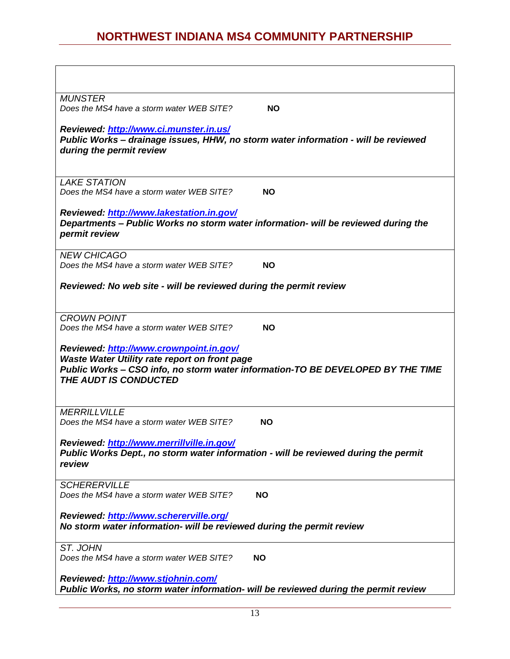| <b>MUNSTER</b><br>Does the MS4 have a storm water WEB SITE?<br><b>NO</b>                                                                                                                                    |  |
|-------------------------------------------------------------------------------------------------------------------------------------------------------------------------------------------------------------|--|
| Reviewed: http://www.ci.munster.in.us/                                                                                                                                                                      |  |
| Public Works - drainage issues, HHW, no storm water information - will be reviewed<br>during the permit review                                                                                              |  |
| <b>LAKE STATION</b>                                                                                                                                                                                         |  |
| Does the MS4 have a storm water WEB SITE?<br><b>NO</b>                                                                                                                                                      |  |
| Reviewed: http://www.lakestation.in.gov/<br>Departments - Public Works no storm water information- will be reviewed during the<br>permit review                                                             |  |
| <b>NEW CHICAGO</b><br>Does the MS4 have a storm water WEB SITE?<br><b>NO</b>                                                                                                                                |  |
| Reviewed: No web site - will be reviewed during the permit review                                                                                                                                           |  |
| <b>CROWN POINT</b>                                                                                                                                                                                          |  |
| Does the MS4 have a storm water WEB SITE?<br><b>NO</b>                                                                                                                                                      |  |
| Reviewed: http://www.crownpoint.in.gov/<br>Waste Water Utility rate report on front page<br>Public Works - CSO info, no storm water information-TO BE DEVELOPED BY THE TIME<br><b>THE AUDT IS CONDUCTED</b> |  |
| <b>MERRILLVILLE</b><br>Does the MS4 have a storm water WEB SITE?<br>NO.                                                                                                                                     |  |
|                                                                                                                                                                                                             |  |
| Reviewed: http://www.merrillville.in.gov/<br>Public Works Dept., no storm water information - will be reviewed during the permit<br>review                                                                  |  |
| <b>SCHERERVILLE</b>                                                                                                                                                                                         |  |
| Does the MS4 have a storm water WEB SITE?<br><b>NO</b>                                                                                                                                                      |  |
| Reviewed: http://www.schererville.org/<br>No storm water information- will be reviewed during the permit review                                                                                             |  |
| ST. JOHN<br>Does the MS4 have a storm water WEB SITE?<br><b>NO</b>                                                                                                                                          |  |
| Reviewed: http://www.stjohnin.com/<br>Public Works, no storm water information- will be reviewed during the permit review                                                                                   |  |